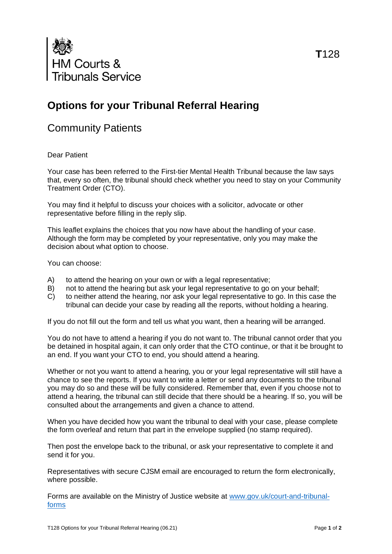

# **Options for your Tribunal Referral Hearing**

# Community Patients

## Dear Patient

Your case has been referred to the First-tier Mental Health Tribunal because the law says that, every so often, the tribunal should check whether you need to stay on your Community Treatment Order (CTO).

You may find it helpful to discuss your choices with a solicitor, advocate or other representative before filling in the reply slip.

This leaflet explains the choices that you now have about the handling of your case. Although the form may be completed by your representative, only you may make the decision about what option to choose.

You can choose:

- A) to attend the hearing on your own or with a legal representative;
- B) not to attend the hearing but ask your legal representative to go on your behalf;
- C) to neither attend the hearing, nor ask your legal representative to go. In this case the tribunal can decide your case by reading all the reports, without holding a hearing.

If you do not fill out the form and tell us what you want, then a hearing will be arranged.

You do not have to attend a hearing if you do not want to. The tribunal cannot order that you be detained in hospital again, it can only order that the CTO continue, or that it be brought to an end. If you want your CTO to end, you should attend a hearing.

Whether or not you want to attend a hearing, you or your legal representative will still have a chance to see the reports. If you want to write a letter or send any documents to the tribunal you may do so and these will be fully considered. Remember that, even if you choose not to attend a hearing, the tribunal can still decide that there should be a hearing. If so, you will be consulted about the arrangements and given a chance to attend.

When you have decided how you want the tribunal to deal with your case, please complete the form overleaf and return that part in the envelope supplied (no stamp required).

Then post the envelope back to the tribunal, or ask your representative to complete it and send it for you.

Representatives with secure CJSM email are encouraged to return the form electronically, where possible.

Forms are available on the Ministry of Justice website at [www.gov.uk/court-and-tribunal](http://www.gov.uk/court-and-tribunal-forms)[forms](http://www.gov.uk/court-and-tribunal-forms)